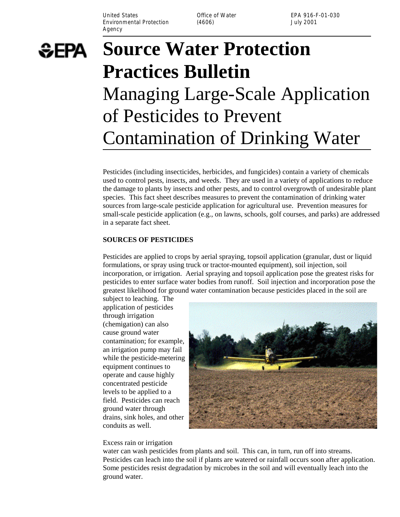United States **Office of Water** EPA 916-F-01-030 Environmental Protection (4606) July 2001 Agency



# **Source Water Protection Practices Bulletin**  Managing Large-Scale Application

# of Pesticides to Prevent

Contamination of Drinking Water

Pesticides (including insecticides, herbicides, and fungicides) contain a variety of chemicals used to control pests, insects, and weeds. They are used in a variety of applications to reduce the damage to plants by insects and other pests, and to control overgrowth of undesirable plant species. This fact sheet describes measures to prevent the contamination of drinking water sources from large-scale pesticide application for agricultural use. Prevention measures for small-scale pesticide application (e.g., on lawns, schools, golf courses, and parks) are addressed in a separate fact sheet.

## **SOURCES OF PESTICIDES**

Pesticides are applied to crops by aerial spraying, topsoil application (granular, dust or liquid formulations, or spray using truck or tractor-mounted equipment), soil injection, soil incorporation, or irrigation. Aerial spraying and topsoil application pose the greatest risks for pesticides to enter surface water bodies from runoff. Soil injection and incorporation pose the greatest likelihood for ground water contamination because pesticides placed in the soil are

subject to leaching. The application of pesticides through irrigation (chemigation) can also cause ground water contamination; for example, an irrigation pump may fail while the pesticide-metering equipment continues to operate and cause highly concentrated pesticide levels to be applied to a field. Pesticides can reach ground water through drains, sink holes, and other conduits as well.



## Excess rain or irrigation

water can wash pesticides from plants and soil. This can, in turn, run off into streams. Pesticides can leach into the soil if plants are watered or rainfall occurs soon after application. Some pesticides resist degradation by microbes in the soil and will eventually leach into the ground water.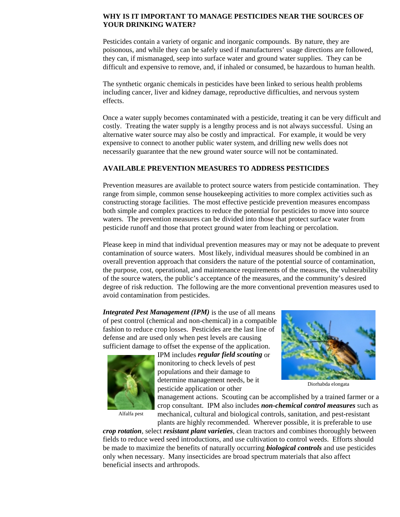#### **WHY IS IT IMPORTANT TO MANAGE PESTICIDES NEAR THE SOURCES OF YOUR DRINKING WATER?**

Pesticides contain a variety of organic and inorganic compounds. By nature, they are poisonous, and while they can be safely used if manufacturers' usage directions are followed, they can, if mismanaged, seep into surface water and ground water supplies. They can be difficult and expensive to remove, and, if inhaled or consumed, be hazardous to human health.

The synthetic organic chemicals in pesticides have been linked to serious health problems including cancer, liver and kidney damage, reproductive difficulties, and nervous system effects.

Once a water supply becomes contaminated with a pesticide, treating it can be very difficult and costly. Treating the water supply is a lengthy process and is not always successful. Using an alternative water source may also be costly and impractical. For example, it would be very expensive to connect to another public water system, and drilling new wells does not necessarily guarantee that the new ground water source will not be contaminated.

## **AVAILABLE PREVENTION MEASURES TO ADDRESS PESTICIDES**

Prevention measures are available to protect source waters from pesticide contamination. They range from simple, common sense housekeeping activities to more complex activities such as constructing storage facilities. The most effective pesticide prevention measures encompass both simple and complex practices to reduce the potential for pesticides to move into source waters. The prevention measures can be divided into those that protect surface water from pesticide runoff and those that protect ground water from leaching or percolation.

Please keep in mind that individual prevention measures may or may not be adequate to prevent contamination of source waters. Most likely, individual measures should be combined in an overall prevention approach that considers the nature of the potential source of contamination, the purpose, cost, operational, and maintenance requirements of the measures, the vulnerability of the source waters, the public's acceptance of the measures, and the community's desired degree of risk reduction. The following are the more conventional prevention measures used to avoid contamination from pesticides.

*Integrated Pest Management (IPM)* is the use of all means of pest control (chemical and non-chemical) in a compatible fashion to reduce crop losses. Pesticides are the last line of defense and are used only when pest levels are causing sufficient damage to offset the expense of the application.



IPM includes *regular field scouting* or monitoring to check levels of pest populations and their damage to determine management needs, be it<br>
pesticide application or other<br>
Diorhabda elongata



Alfalfa pest

management actions. Scouting can be accomplished by a trained farmer or a crop consultant. IPM also includes *non-chemical control measures* such as mechanical, cultural and biological controls, sanitation, and pest-resistant

plants are highly recommended. Wherever possible, it is preferable to use *crop rotation*, select *resistant plant varieties*, clean tractors and combines thoroughly between fields to reduce weed seed introductions, and use cultivation to control weeds. Efforts should be made to maximize the benefits of naturally occurring *biological controls* and use pesticides only when necessary. Many insecticides are broad spectrum materials that also affect beneficial insects and arthropods.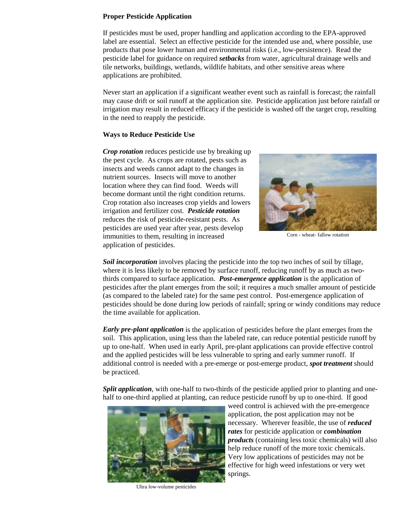#### **Proper Pesticide Application**

If pesticides must be used, proper handling and application according to the EPA-approved label are essential. Select an effective pesticide for the intended use and, where possible, use products that pose lower human and environmental risks (i.e., low-persistence). Read the pesticide label for guidance on required *setbacks* from water, agricultural drainage wells and tile networks, buildings, wetlands, wildlife habitats, and other sensitive areas where applications are prohibited.

Never start an application if a significant weather event such as rainfall is forecast; the rainfall may cause drift or soil runoff at the application site. Pesticide application just before rainfall or irrigation may result in reduced efficacy if the pesticide is washed off the target crop, resulting in the need to reapply the pesticide.

## **Ways to Reduce Pesticide Use**

*Crop rotation* reduces pesticide use by breaking up the pest cycle. As crops are rotated, pests such as insects and weeds cannot adapt to the changes in nutrient sources. Insects will move to another location where they can find food. Weeds will become dormant until the right condition returns. Crop rotation also increases crop yields and lowers irrigation and fertilizer cost. *Pesticide rotation*  reduces the risk of pesticide-resistant pests. As pesticides are used year after year, pests develop immunities to them, resulting in increased Corn - wheat- fallow rotation application of pesticides.



*Soil incorporation* involves placing the pesticide into the top two inches of soil by tillage, where it is less likely to be removed by surface runoff, reducing runoff by as much as two thirds compared to surface application. *Post-emergence application* is the application of pesticides after the plant emerges from the soil; it requires a much smaller amount of pesticide (as compared to the labeled rate) for the same pest control. Post-emergence application of pesticides should be done during low periods of rainfall; spring or windy conditions may reduce the time available for application.

*Early pre-plant application* is the application of pesticides before the plant emerges from the soil. This application, using less than the labeled rate, can reduce potential pesticide runoff by up to one-half. When used in early April, pre-plant applications can provide effective control and the applied pesticides will be less vulnerable to spring and early summer runoff. If additional control is needed with a pre-emerge or post-emerge product, *spot treatment* should be practiced.

*Split application*, with one-half to two-thirds of the pesticide applied prior to planting and one half to one-third applied at planting, can reduce pesticide runoff by up to one-third. If good



weed control is achieved with the pre-emergence application, the post application may not be necessary. Wherever feasible, the use of *reduced rates* for pesticide application or *combination products* (containing less toxic chemicals) will also help reduce runoff of the more toxic chemicals. Very low applications of pesticides may not be effective for high weed infestations or very wet springs.

Ultra low-volume pesticides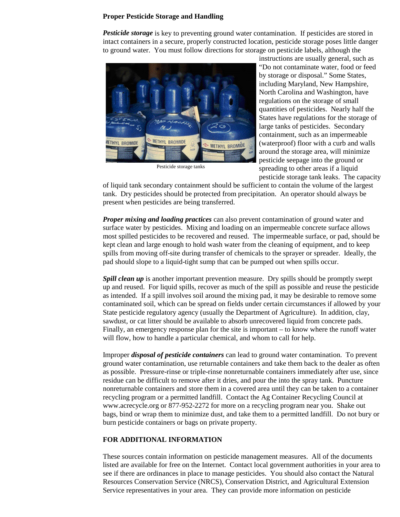#### **Proper Pesticide Storage and Handling**

*Pesticide storage* is key to preventing ground water contamination. If pesticides are stored in intact containers in a secure, properly constructed location, pesticide storage poses little danger to ground water. You must follow directions for storage on pesticide labels, although the



instructions are usually general, such as "Do not contaminate water, food or feed by storage or disposal." Some States, including Maryland, New Hampshire, North Carolina and Washington, have regulations on the storage of small quantities of pesticides. Nearly half the States have regulations for the storage of large tanks of pesticides. Secondary containment, such as an impermeable (waterproof) floor with a curb and walls around the storage area, will minimize pesticide seepage into the ground or Pesticide storage tanks spreading to other areas if a liquid pesticide storage tank leaks. The capacity

of liquid tank secondary containment should be sufficient to contain the volume of the largest tank. Dry pesticides should be protected from precipitation. An operator should always be present when pesticides are being transferred.

*Proper mixing and loading practices* can also prevent contamination of ground water and surface water by pesticides. Mixing and loading on an impermeable concrete surface allows most spilled pesticides to be recovered and reused. The impermeable surface, or pad, should be kept clean and large enough to hold wash water from the cleaning of equipment, and to keep spills from moving off-site during transfer of chemicals to the sprayer or spreader. Ideally, the pad should slope to a liquid-tight sump that can be pumped out when spills occur.

*Spill clean up* is another important prevention measure. Dry spills should be promptly swept up and reused. For liquid spills, recover as much of the spill as possible and reuse the pesticide as intended. If a spill involves soil around the mixing pad, it may be desirable to remove some contaminated soil, which can be spread on fields under certain circumstances if allowed by your State pesticide regulatory agency (usually the Department of Agriculture). In addition, clay, sawdust, or cat litter should be available to absorb unrecovered liquid from concrete pads. Finally, an emergency response plan for the site is important – to know where the runoff water will flow, how to handle a particular chemical, and whom to call for help.

Improper *disposal of pesticide containers* can lead to ground water contamination. To prevent ground water contamination, use returnable containers and take them back to the dealer as often as possible. Pressure-rinse or triple-rinse nonreturnable containers immediately after use, since residue can be difficult to remove after it dries, and pour the into the spray tank. Puncture nonreturnable containers and store them in a covered area until they can be taken to a container recycling program or a permitted landfill. Contact the Ag Container Recycling Council at www.acrecycle.org or 877-952-2272 for more on a recycling program near you. Shake out bags, bind or wrap them to minimize dust, and take them to a permitted landfill. Do not bury or burn pesticide containers or bags on private property.

## **FOR ADDITIONAL INFORMATION**

These sources contain information on pesticide management measures. All of the documents listed are available for free on the Internet. Contact local government authorities in your area to see if there are ordinances in place to manage pesticides. You should also contact the Natural Resources Conservation Service (NRCS), Conservation District, and Agricultural Extension Service representatives in your area. They can provide more information on pesticide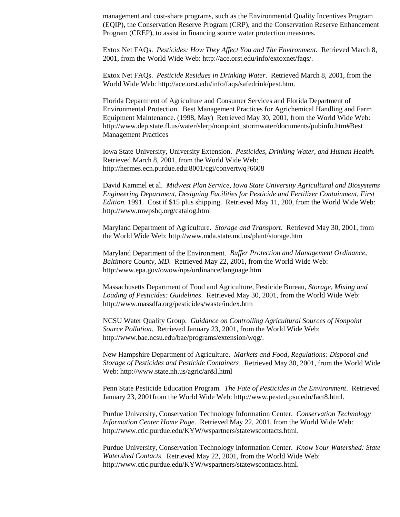management and cost-share programs, such as the Environmental Quality Incentives Program (EQIP), the Conservation Reserve Program (CRP), and the Conservation Reserve Enhancement Program (CREP), to assist in financing source water protection measures.

Extox Net FAQs. *Pesticides: How They Affect You and The Environment*. Retrieved March 8, 2001, from the World Wide Web: http://ace.orst.edu/info/extoxnet/faqs/.

Extox Net FAQs. *Pesticide Residues in Drinking Water*. Retrieved March 8, 2001, from the World Wide Web: http://ace.orst.edu/info/faqs/safedrink/pest.htm.

Florida Department of Agriculture and Consumer Services and Florida Department of Environmental Protection. Best Management Practices for Agrichemical Handling and Farm Equipment Maintenance. (1998, May) Retrieved May 30, 2001, from the World Wide Web: http://www.dep.state.fl.us/water/slerp/nonpoint\_stormwater/documents/pubinfo.htm#Best Management Practices

Iowa State University, University Extension. *Pesticides, Drinking Water, and Human Health.*  Retrieved March 8, 2001, from the World Wide Web: http://hermes.ecn.purdue.edu:8001/cgi/convertwq?6608

David Kammel et al. *Midwest Plan Service, Iowa State University Agricultural and Biosystems Engineering Department, Designing Facilities for Pesticide and Fertilizer Containment, First Edition*. 1991. Cost if \$15 plus shipping. Retrieved May 11, 200, from the World Wide Web: http://www.mwpshq.org/catalog.html

Maryland Department of Agriculture. *Storage and Transport*. Retrieved May 30, 2001, from the World Wide Web: http://www.mda.state.md.us/plant/storage.htm

Maryland Department of the Environment. *Buffer Protection and Management Ordinance, Baltimore County, MD.* Retrieved May 22, 2001, from the World Wide Web: http:/www.epa.gov/owow/nps/ordinance/language.htm

Massachusetts Department of Food and Agriculture, Pesticide Bureau, *Storage, Mixing and Loading of Pesticides: Guidelines*. Retrieved May 30, 2001, from the World Wide Web: http://www.massdfa.org/pesticides/waste/index.htm

NCSU Water Quality Group. *Guidance on Controlling Agricultural Sources of Nonpoint Source Pollution*. Retrieved January 23, 2001, from the World Wide Web: http://www.bae.ncsu.edu/bae/programs/extension/wqg/.

New Hampshire Department of Agriculture. *Markets and Food, Regulations: Disposal and Storage of Pesticides and Pesticide Containers*. Retrieved May 30, 2001, from the World Wide Web: http://www.state.nh.us/agric/ar&l.html

Penn State Pesticide Education Program. *The Fate of Pesticides in the Environment*. Retrieved January 23, 2001from the World Wide Web: http://www.pested.psu.edu/fact8.html.

Purdue University, Conservation Technology Information Center. *Conservation Technology Information Center Home Page*. Retrieved May 22, 2001, from the World Wide Web: http://www.ctic.purdue.edu/KYW/wspartners/statewscontacts.html.

Purdue University, Conservation Technology Information Center. *Know Your Watershed: State Watershed Contacts*. Retrieved May 22, 2001, from the World Wide Web: http://www.ctic.purdue.edu/KYW/wspartners/statewscontacts.html.